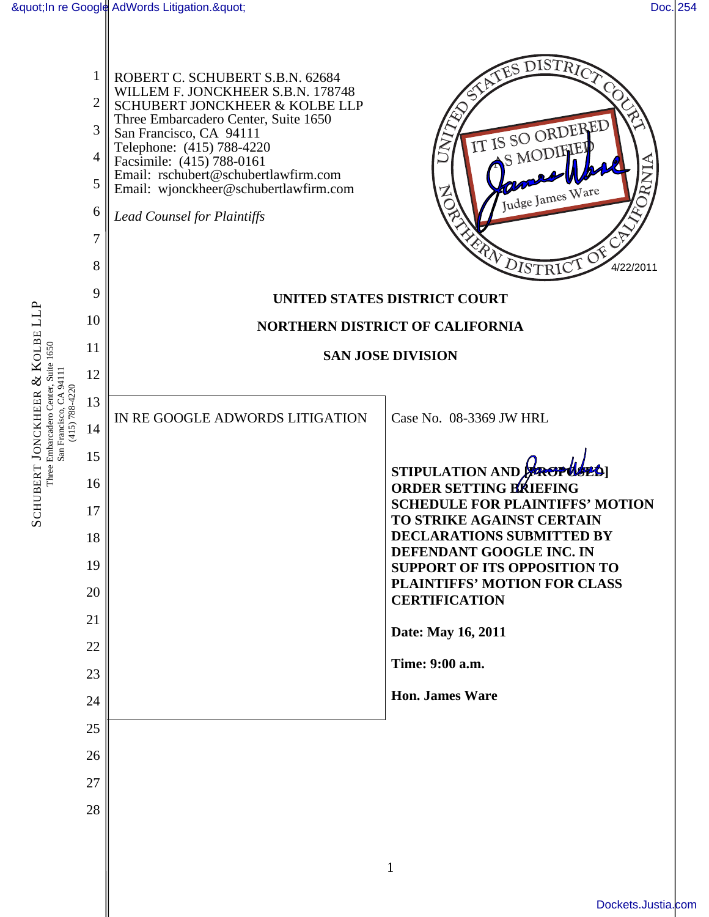SCHUBERT JONCKHEER

ళ ∵

Three Embarcadero Center, Suite 1650

KOLBE LLP

|                                           | 1<br>$\overline{2}$<br>3<br>4<br>5<br>6<br>$\overline{7}$<br>8<br>9<br>10 | ROBERT C. SCHUBERT S.B.N. 62684<br>WILLEM F. JONCKHEER S.B.N. 178748<br>SCHUBERT JONCKHEER & KOLBE LLP<br>Three Embarcadero Center, Suite 1650<br>San Francisco, CA 94111<br>Telephone: (415) 788-4220<br>Facsimile: (415) 788-0161<br>Email: rschubert@schubertlawfirm.com<br>Email: wjonckheer@schubertlawfirm.com<br><b>Lead Counsel for Plaintiffs</b> | <b>ATES DISTRICT</b><br>IT IS SO ORDERED<br>S MODIFIEI<br>Judge James Ware<br>RN DISTRICT<br>4/22/2011<br><b>UNITED STATES DISTRICT COURT</b><br>NORTHERN DISTRICT OF CALIFORNIA |
|-------------------------------------------|---------------------------------------------------------------------------|------------------------------------------------------------------------------------------------------------------------------------------------------------------------------------------------------------------------------------------------------------------------------------------------------------------------------------------------------------|----------------------------------------------------------------------------------------------------------------------------------------------------------------------------------|
|                                           | 11                                                                        |                                                                                                                                                                                                                                                                                                                                                            |                                                                                                                                                                                  |
| San Francisco, CA 94111<br>(415) 788-4220 | 12                                                                        | <b>SAN JOSE DIVISION</b>                                                                                                                                                                                                                                                                                                                                   |                                                                                                                                                                                  |
|                                           | 13                                                                        |                                                                                                                                                                                                                                                                                                                                                            |                                                                                                                                                                                  |
|                                           | 14                                                                        | IN RE GOOGLE ADWORDS LITIGATION                                                                                                                                                                                                                                                                                                                            | Case No. 08-3369 JW HRL                                                                                                                                                          |
|                                           | 15                                                                        |                                                                                                                                                                                                                                                                                                                                                            |                                                                                                                                                                                  |
|                                           | 16                                                                        |                                                                                                                                                                                                                                                                                                                                                            | STIPULATION AND PROPUSES<br><b>ORDER SETTING BIKIEFING</b>                                                                                                                       |
|                                           | 17                                                                        |                                                                                                                                                                                                                                                                                                                                                            | <b>SCHEDULE FOR PLAINTIFFS' MOTION</b><br>TO STRIKE AGAINST CERTAIN                                                                                                              |
|                                           | 18                                                                        |                                                                                                                                                                                                                                                                                                                                                            | <b>DECLARATIONS SUBMITTED BY</b>                                                                                                                                                 |
|                                           | 19                                                                        |                                                                                                                                                                                                                                                                                                                                                            | DEFENDANT GOOGLE INC. IN<br><b>SUPPORT OF ITS OPPOSITION TO</b>                                                                                                                  |
|                                           | 20                                                                        |                                                                                                                                                                                                                                                                                                                                                            | PLAINTIFFS' MOTION FOR CLASS                                                                                                                                                     |
|                                           | 21                                                                        |                                                                                                                                                                                                                                                                                                                                                            | <b>CERTIFICATION</b>                                                                                                                                                             |
|                                           | 22                                                                        |                                                                                                                                                                                                                                                                                                                                                            | Date: May 16, 2011                                                                                                                                                               |
|                                           | 23                                                                        |                                                                                                                                                                                                                                                                                                                                                            | Time: 9:00 a.m.                                                                                                                                                                  |
|                                           | 24                                                                        |                                                                                                                                                                                                                                                                                                                                                            | <b>Hon. James Ware</b>                                                                                                                                                           |
|                                           | 25                                                                        |                                                                                                                                                                                                                                                                                                                                                            |                                                                                                                                                                                  |
|                                           | 26                                                                        |                                                                                                                                                                                                                                                                                                                                                            |                                                                                                                                                                                  |
|                                           | 27                                                                        |                                                                                                                                                                                                                                                                                                                                                            |                                                                                                                                                                                  |
|                                           | 28                                                                        |                                                                                                                                                                                                                                                                                                                                                            |                                                                                                                                                                                  |
|                                           |                                                                           |                                                                                                                                                                                                                                                                                                                                                            |                                                                                                                                                                                  |
|                                           |                                                                           |                                                                                                                                                                                                                                                                                                                                                            | 1                                                                                                                                                                                |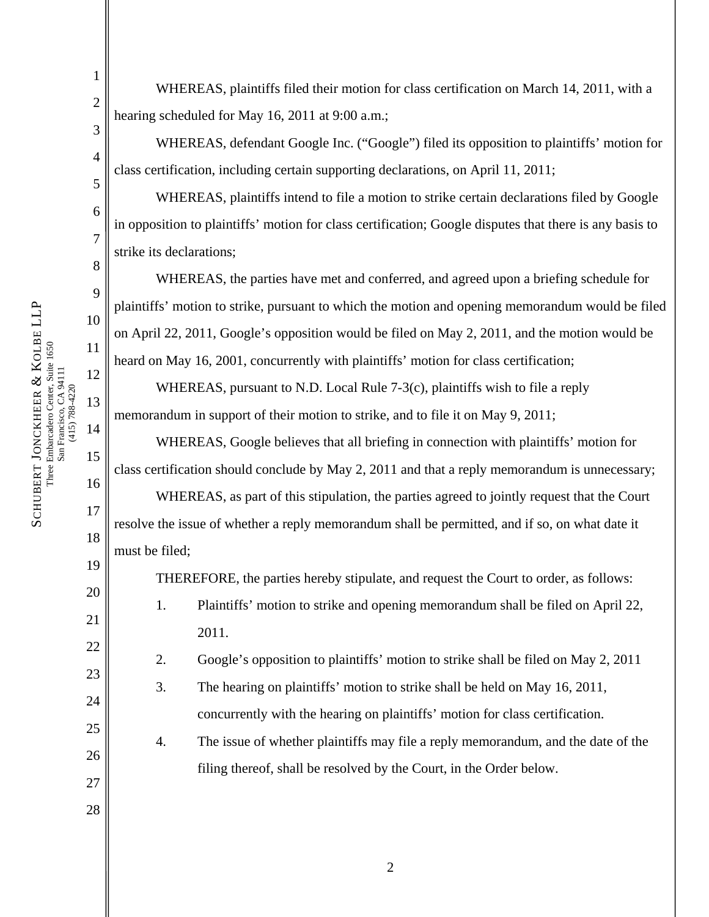1 2

3

4

5

6

7

8

9

10

11

12

13

14

15

16

17

18

19

20

21

22

23

24

25

26

27

28

WHEREAS, plaintiffs filed their motion for class certification on March 14, 2011, with a hearing scheduled for May 16, 2011 at 9:00 a.m.;

WHEREAS, defendant Google Inc. ("Google") filed its opposition to plaintiffs' motion for class certification, including certain supporting declarations, on April 11, 2011;

WHEREAS, plaintiffs intend to file a motion to strike certain declarations filed by Google in opposition to plaintiffs' motion for class certification; Google disputes that there is any basis to strike its declarations;

WHEREAS, the parties have met and conferred, and agreed upon a briefing schedule for plaintiffs' motion to strike, pursuant to which the motion and opening memorandum would be filed on April 22, 2011, Google's opposition would be filed on May 2, 2011, and the motion would be heard on May 16, 2001, concurrently with plaintiffs' motion for class certification;

WHEREAS, pursuant to N.D. Local Rule 7-3(c), plaintiffs wish to file a reply memorandum in support of their motion to strike, and to file it on May 9, 2011;

WHEREAS, Google believes that all briefing in connection with plaintiffs' motion for class certification should conclude by May 2, 2011 and that a reply memorandum is unnecessary;

WHEREAS, as part of this stipulation, the parties agreed to jointly request that the Court resolve the issue of whether a reply memorandum shall be permitted, and if so, on what date it must be filed;

THEREFORE, the parties hereby stipulate, and request the Court to order, as follows:

- 1. Plaintiffs' motion to strike and opening memorandum shall be filed on April 22, 2011.
- 2. Google's opposition to plaintiffs' motion to strike shall be filed on May 2, 2011
- 3. The hearing on plaintiffs' motion to strike shall be held on May 16, 2011, concurrently with the hearing on plaintiffs' motion for class certification.
- 4. The issue of whether plaintiffs may file a reply memorandum, and the date of the filing thereof, shall be resolved by the Court, in the Order below.

SCHUBERT JONCKHEER SCHUBERT JONCKHEER & KOLBE LLP Three Embarcadero Center, Suite 1650<br>San Francisco, CA 94111<br>(415) 788-4220 KOLBE LLP Three Embarcadero Center, Suite 1650 San Francisco, CA 94111 (415) 788-4220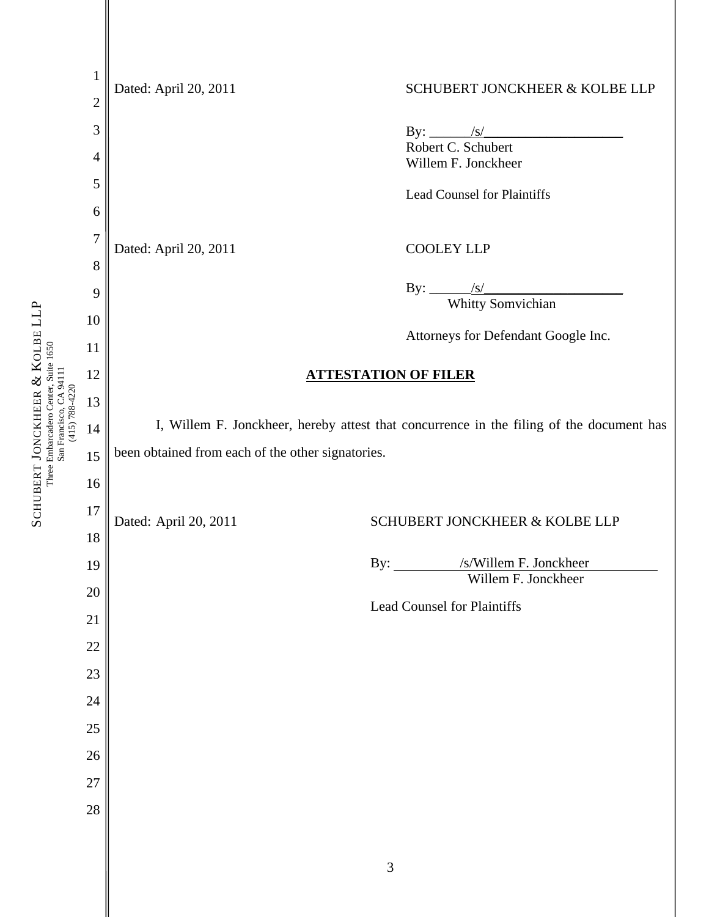|                                           | $\mathbf{1}$<br>$\overline{c}$ | Dated: April 20, 2011                                                                    | SCHUBERT JONCKHEER & KOLBE LLP                       |
|-------------------------------------------|--------------------------------|------------------------------------------------------------------------------------------|------------------------------------------------------|
|                                           | 3                              |                                                                                          |                                                      |
|                                           | 4                              |                                                                                          | By: <u>/s/</u><br>Robert C. Schubert                 |
|                                           | 5                              |                                                                                          | Willem F. Jonckheer                                  |
|                                           | 6                              |                                                                                          | <b>Lead Counsel for Plaintiffs</b>                   |
|                                           | $\overline{7}$                 |                                                                                          |                                                      |
|                                           | $8\,$                          | Dated: April 20, 2011                                                                    | <b>COOLEY LLP</b>                                    |
|                                           | 9                              |                                                                                          |                                                      |
|                                           | 10                             |                                                                                          | By: $\frac{\sqrt{s}}{\text{Whitty Somvichian}}$      |
|                                           | 11                             |                                                                                          | Attorneys for Defendant Google Inc.                  |
|                                           | 12                             | <b>ATTESTATION OF FILER</b>                                                              |                                                      |
|                                           | 13                             |                                                                                          |                                                      |
| San Francisco, CA 94111<br>(415) 788-4220 | 14                             | I, Willem F. Jonckheer, hereby attest that concurrence in the filing of the document has |                                                      |
|                                           |                                | been obtained from each of the other signatories.                                        |                                                      |
|                                           | 15                             |                                                                                          |                                                      |
|                                           | 16                             |                                                                                          |                                                      |
|                                           | 17                             | Dated: April 20, 2011                                                                    | SCHUBERT JONCKHEER & KOLBE LLP                       |
|                                           | 18                             |                                                                                          |                                                      |
|                                           | 19                             |                                                                                          | /s/Willem F. Jonckheer<br>By:<br>Willem F. Jonckheer |
|                                           | 20                             |                                                                                          | <b>Lead Counsel for Plaintiffs</b>                   |
|                                           | 21                             |                                                                                          |                                                      |
|                                           | 22                             |                                                                                          |                                                      |
|                                           | 23                             |                                                                                          |                                                      |
|                                           | 24                             |                                                                                          |                                                      |
|                                           | $25\,$                         |                                                                                          |                                                      |
|                                           | 26                             |                                                                                          |                                                      |
|                                           | 27                             |                                                                                          |                                                      |
|                                           | 28                             |                                                                                          |                                                      |
|                                           |                                |                                                                                          |                                                      |
|                                           |                                |                                                                                          | $\mathfrak{Z}$                                       |
|                                           |                                |                                                                                          |                                                      |

SCHUBERT JONCKHEER

ళ ∵

Three Embarcadero Center, Suite 1650

KOLBE LLP